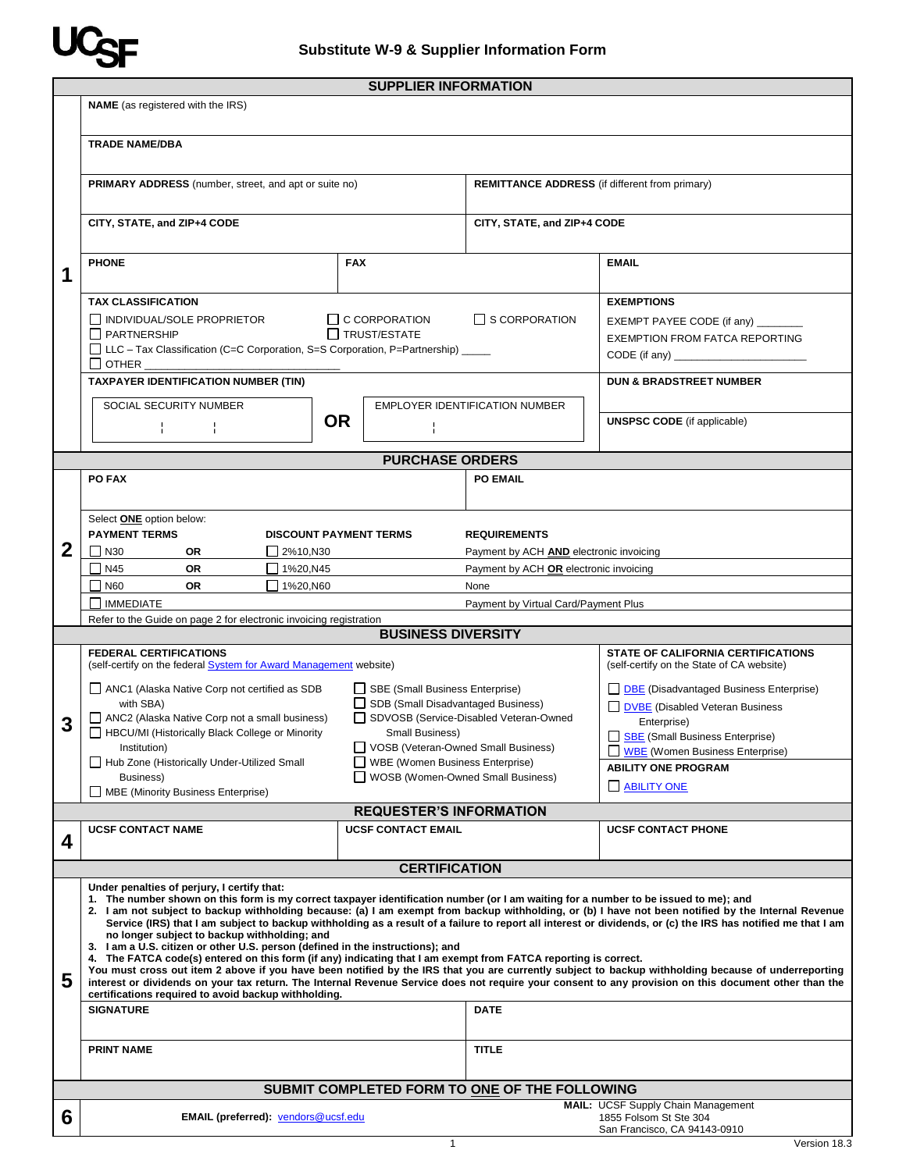

|              | <b>SUPPLIER INFORMATION</b>                                                                                                                                                                                                                                                                                                                                                                                                                                                                                                                                                                                                                                                                                                                                     |           |                                                                          |                                                                                          |                                                                                                                                            |  |
|--------------|-----------------------------------------------------------------------------------------------------------------------------------------------------------------------------------------------------------------------------------------------------------------------------------------------------------------------------------------------------------------------------------------------------------------------------------------------------------------------------------------------------------------------------------------------------------------------------------------------------------------------------------------------------------------------------------------------------------------------------------------------------------------|-----------|--------------------------------------------------------------------------|------------------------------------------------------------------------------------------|--------------------------------------------------------------------------------------------------------------------------------------------|--|
|              | <b>NAME</b> (as registered with the IRS)                                                                                                                                                                                                                                                                                                                                                                                                                                                                                                                                                                                                                                                                                                                        |           |                                                                          |                                                                                          |                                                                                                                                            |  |
|              | <b>TRADE NAME/DBA</b>                                                                                                                                                                                                                                                                                                                                                                                                                                                                                                                                                                                                                                                                                                                                           |           |                                                                          |                                                                                          |                                                                                                                                            |  |
|              | <b>PRIMARY ADDRESS</b> (number, street, and apt or suite no)                                                                                                                                                                                                                                                                                                                                                                                                                                                                                                                                                                                                                                                                                                    |           |                                                                          | <b>REMITTANCE ADDRESS</b> (if different from primary)                                    |                                                                                                                                            |  |
|              | CITY, STATE, and ZIP+4 CODE                                                                                                                                                                                                                                                                                                                                                                                                                                                                                                                                                                                                                                                                                                                                     |           |                                                                          | CITY, STATE, and ZIP+4 CODE                                                              |                                                                                                                                            |  |
| 1            | <b>PHONE</b><br><b>FAX</b>                                                                                                                                                                                                                                                                                                                                                                                                                                                                                                                                                                                                                                                                                                                                      |           |                                                                          |                                                                                          | <b>EMAIL</b>                                                                                                                               |  |
|              | <b>TAX CLASSIFICATION</b><br>$\Box$ INDIVIDUAL/SOLE PROPRIETOR<br>$\Box$ C CORPORATION<br>TRUST/ESTATE<br><b>NEXT PARTNERSHIP</b><br>□ LLC – Tax Classification (C=C Corporation, S=S Corporation, P=Partnership) ____<br>$\Box$ other $\_$                                                                                                                                                                                                                                                                                                                                                                                                                                                                                                                     |           |                                                                          | $\Box$ S CORPORATION                                                                     | <b>EXEMPTIONS</b><br>EXEMPT PAYEE CODE (if any) _______<br><b>EXEMPTION FROM FATCA REPORTING</b><br>CODE (if any) $\frac{1}{2}$            |  |
|              | <b>TAXPAYER IDENTIFICATION NUMBER (TIN)</b>                                                                                                                                                                                                                                                                                                                                                                                                                                                                                                                                                                                                                                                                                                                     |           |                                                                          |                                                                                          | <b>DUN &amp; BRADSTREET NUMBER</b>                                                                                                         |  |
|              | SOCIAL SECURITY NUMBER<br>÷.<br>н.                                                                                                                                                                                                                                                                                                                                                                                                                                                                                                                                                                                                                                                                                                                              | <b>OR</b> |                                                                          | EMPLOYER IDENTIFICATION NUMBER                                                           | <b>UNSPSC CODE</b> (if applicable)                                                                                                         |  |
|              |                                                                                                                                                                                                                                                                                                                                                                                                                                                                                                                                                                                                                                                                                                                                                                 |           |                                                                          |                                                                                          |                                                                                                                                            |  |
|              | <b>PURCHASE ORDERS</b><br>PO FAX                                                                                                                                                                                                                                                                                                                                                                                                                                                                                                                                                                                                                                                                                                                                |           |                                                                          | <b>PO EMAIL</b>                                                                          |                                                                                                                                            |  |
| $\mathbf{2}$ | Select <b>ONE</b> option below:<br><b>PAYMENT TERMS</b><br><b>DISCOUNT PAYMENT TERMS</b><br><b>REQUIREMENTS</b>                                                                                                                                                                                                                                                                                                                                                                                                                                                                                                                                                                                                                                                 |           |                                                                          |                                                                                          |                                                                                                                                            |  |
|              | $\Box$ 2%10, N30<br>$\Box$ N30<br>OR<br>N45<br><b>OR</b><br>$1\%20, N45$                                                                                                                                                                                                                                                                                                                                                                                                                                                                                                                                                                                                                                                                                        |           |                                                                          | Payment by ACH <b>AND</b> electronic invoicing<br>Payment by ACH OR electronic invoicing |                                                                                                                                            |  |
|              | $\Box$ N60<br><b>OR</b><br>$1\%20, N60$                                                                                                                                                                                                                                                                                                                                                                                                                                                                                                                                                                                                                                                                                                                         |           |                                                                          | None                                                                                     |                                                                                                                                            |  |
|              | $\Box$ IMMEDIATE                                                                                                                                                                                                                                                                                                                                                                                                                                                                                                                                                                                                                                                                                                                                                |           |                                                                          | Payment by Virtual Card/Payment Plus                                                     |                                                                                                                                            |  |
|              | Refer to the Guide on page 2 for electronic invoicing registration                                                                                                                                                                                                                                                                                                                                                                                                                                                                                                                                                                                                                                                                                              |           |                                                                          |                                                                                          |                                                                                                                                            |  |
|              | <b>BUSINESS DIVERSITY</b>                                                                                                                                                                                                                                                                                                                                                                                                                                                                                                                                                                                                                                                                                                                                       |           |                                                                          |                                                                                          |                                                                                                                                            |  |
|              | <b>FEDERAL CERTIFICATIONS</b><br>(self-certify on the federal System for Award Management website)                                                                                                                                                                                                                                                                                                                                                                                                                                                                                                                                                                                                                                                              |           |                                                                          |                                                                                          | <b>STATE OF CALIFORNIA CERTIFICATIONS</b><br>(self-certify on the State of CA website)                                                     |  |
| 3            | ANC1 (Alaska Native Corp not certified as SDB<br>SBE (Small Business Enterprise)<br>SDB (Small Disadvantaged Business)<br>with SBA)<br>ANC2 (Alaska Native Corp not a small business)<br>HBCU/MI (Historically Black College or Minority<br>Small Business)                                                                                                                                                                                                                                                                                                                                                                                                                                                                                                     |           |                                                                          | SDVOSB (Service-Disabled Veteran-Owned                                                   | <b>DBE</b> (Disadvantaged Business Enterprise)<br><b>DVBE</b> (Disabled Veteran Business<br>Enterprise)<br>SBE (Small Business Enterprise) |  |
|              | Institution)<br>Hub Zone (Historically Under-Utilized Small                                                                                                                                                                                                                                                                                                                                                                                                                                                                                                                                                                                                                                                                                                     |           | □ VOSB (Veteran-Owned Small Business)<br>WBE (Women Business Enterprise) |                                                                                          | WBE (Women Business Enterprise)                                                                                                            |  |
|              | Business)                                                                                                                                                                                                                                                                                                                                                                                                                                                                                                                                                                                                                                                                                                                                                       |           | WOSB (Women-Owned Small Business)                                        |                                                                                          | <b>ABILITY ONE PROGRAM</b><br>ABILITY ONE                                                                                                  |  |
|              | MBE (Minority Business Enterprise)                                                                                                                                                                                                                                                                                                                                                                                                                                                                                                                                                                                                                                                                                                                              |           |                                                                          |                                                                                          |                                                                                                                                            |  |
|              | <b>UCSF CONTACT NAME</b>                                                                                                                                                                                                                                                                                                                                                                                                                                                                                                                                                                                                                                                                                                                                        |           | <b>REQUESTER'S INFORMATION</b><br><b>UCSF CONTACT EMAIL</b>              |                                                                                          | <b>UCSF CONTACT PHONE</b>                                                                                                                  |  |
| 4            |                                                                                                                                                                                                                                                                                                                                                                                                                                                                                                                                                                                                                                                                                                                                                                 |           |                                                                          |                                                                                          |                                                                                                                                            |  |
|              |                                                                                                                                                                                                                                                                                                                                                                                                                                                                                                                                                                                                                                                                                                                                                                 |           | <b>CERTIFICATION</b>                                                     |                                                                                          |                                                                                                                                            |  |
|              | Under penalties of perjury, I certify that:<br>1. The number shown on this form is my correct taxpayer identification number (or I am waiting for a number to be issued to me); and<br>2. I am not subject to backup withholding because: (a) I am exempt from backup withholding, or (b) I have not been notified by the Internal Revenue<br>Service (IRS) that I am subject to backup withholding as a result of a failure to report all interest or dividends, or (c) the IRS has notified me that I am<br>no longer subject to backup withholding; and<br>3. I am a U.S. citizen or other U.S. person (defined in the instructions); and<br>4. The FATCA code(s) entered on this form (if any) indicating that I am exempt from FATCA reporting is correct. |           |                                                                          |                                                                                          |                                                                                                                                            |  |
| 5            | You must cross out item 2 above if you have been notified by the IRS that you are currently subject to backup withholding because of underreporting<br>interest or dividends on your tax return. The Internal Revenue Service does not require your consent to any provision on this document other than the<br>certifications required to avoid backup withholding.                                                                                                                                                                                                                                                                                                                                                                                            |           |                                                                          |                                                                                          |                                                                                                                                            |  |
|              | <b>SIGNATURE</b>                                                                                                                                                                                                                                                                                                                                                                                                                                                                                                                                                                                                                                                                                                                                                |           |                                                                          | <b>DATE</b>                                                                              |                                                                                                                                            |  |
|              | <b>PRINT NAME</b>                                                                                                                                                                                                                                                                                                                                                                                                                                                                                                                                                                                                                                                                                                                                               |           |                                                                          | <b>TITLE</b>                                                                             |                                                                                                                                            |  |
|              |                                                                                                                                                                                                                                                                                                                                                                                                                                                                                                                                                                                                                                                                                                                                                                 |           |                                                                          | SUBMIT COMPLETED FORM TO ONE OF THE FOLLOWING                                            |                                                                                                                                            |  |
| 6            | <b>EMAIL (preferred):</b> vendors@ucsf.edu                                                                                                                                                                                                                                                                                                                                                                                                                                                                                                                                                                                                                                                                                                                      |           |                                                                          |                                                                                          | MAIL: UCSF Supply Chain Management<br>1855 Folsom St Ste 304                                                                               |  |
|              |                                                                                                                                                                                                                                                                                                                                                                                                                                                                                                                                                                                                                                                                                                                                                                 |           |                                                                          |                                                                                          | San Francisco, CA 94143-0910                                                                                                               |  |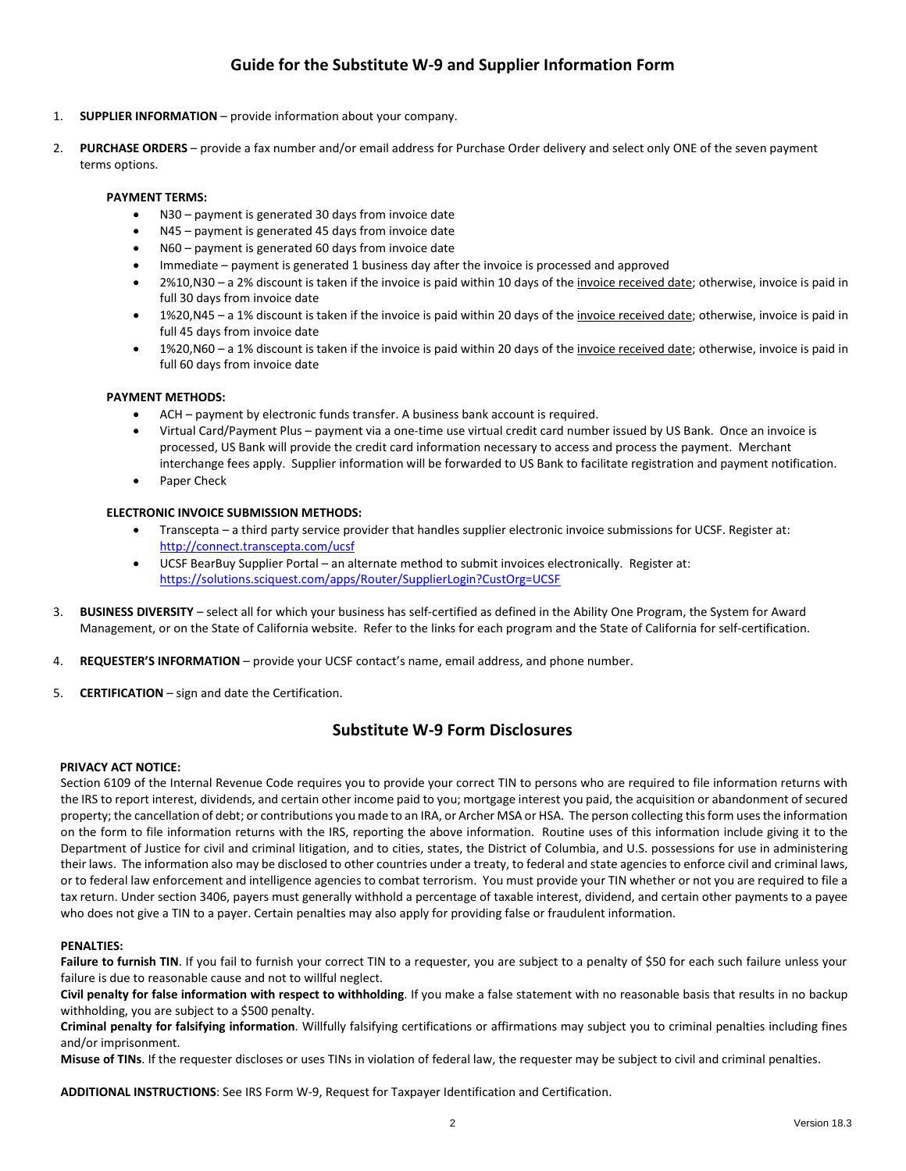### **Guide for the Substitute W-9 and Supplier Information Form**

- 1. **SUPPLIER INFORMATION**  provide information about your company.
- 2. **PURCHASE ORDERS**  provide a fax number and/or email address for Purchase Order delivery and select only ONE of the seven payment terms options.

### **PAYMENT TERMS:**

- N30 payment is generated 30 days from invoice date
- N45 payment is generated 45 days from invoice date
- N60 payment is generated 60 days from invoice date
- Immediate payment is generated 1 business day after the invoice is processed and approved
- 2%10,N30 a 2% discount is taken if the invoice is paid within 10 days of the invoice received date; otherwise, invoice is paid in full 30 days from invoice date
- 1%20,N45 a 1% discount is taken if the invoice is paid within 20 days of the invoice received date; otherwise, invoice is paid in full 45 days from invoice date
- 1%20,N60 a 1% discount is taken if the invoice is paid within 20 days of the invoice received date; otherwise, invoice is paid in full 60 days from invoice date

### **PAYMENT METHODS:**

- ACH payment by electronic funds transfer. A business bank account is required.
- Virtual Card/Payment Plus payment via a one-time use virtual credit card number issued by US Bank. Once an invoice is processed, US Bank will provide the credit card information necessary to access and process the payment. Merchant interchange fees apply. Supplier information will be forwarded to US Bank to facilitate registration and payment notification.
- Paper Check

### **ELECTRONIC INVOICE SUBMISSION METHODS:**

- Transcepta a third party service provider that handles supplier electronic invoice submissions for UCSF. Register at: <http://connect.transcepta.com/ucsf>
- UCSF BearBuy Supplier Portal an alternate method to submit invoices electronically. Register at: <https://solutions.sciquest.com/apps/Router/SupplierLogin?CustOrg=UCSF>
- 3. **BUSINESS DIVERSITY** select all for which your business has self-certified as defined in the Ability One Program, the System for Award Management, or on the State of California website. Refer to the links for each program and the State of California for self-certification.
- 4. **REQUESTER'S INFORMATION** provide your UCSF contact's name, email address, and phone number.
- 5. **CERTIFICATION** sign and date the Certification.

### **Substitute W-9 Form Disclosures**

#### **PRIVACY ACT NOTICE:**

Section 6109 of the Internal Revenue Code requires you to provide your correct TIN to persons who are required to file information returns with the IRS to report interest, dividends, and certain other income paid to you; mortgage interest you paid, the acquisition or abandonment of secured property; the cancellation of debt; or contributions you made to an IRA, or Archer MSA or HSA. The person collecting this form uses the information on the form to file information returns with the IRS, reporting the above information. Routine uses of this information include giving it to the Department of Justice for civil and criminal litigation, and to cities, states, the District of Columbia, and U.S. possessions for use in administering their laws. The information also may be disclosed to other countries under a treaty, to federal and state agencies to enforce civil and criminal laws, or to federal law enforcement and intelligence agencies to combat terrorism. You must provide your TIN whether or not you are required to file a tax return. Under section 3406, payers must generally withhold a percentage of taxable interest, dividend, and certain other payments to a payee who does not give a TIN to a payer. Certain penalties may also apply for providing false or fraudulent information.

### **PENALTIES:**

Failure to furnish TIN. If you fail to furnish your correct TIN to a requester, you are subject to a penalty of \$50 for each such failure unless your failure is due to reasonable cause and not to willful neglect.

**Civil penalty for false information with respect to withholding**. If you make a false statement with no reasonable basis that results in no backup withholding, you are subject to a \$500 penalty.

**Criminal penalty for falsifying information**. Willfully falsifying certifications or affirmations may subject you to criminal penalties including fines and/or imprisonment.

**Misuse of TINs**. If the requester discloses or uses TINs in violation of federal law, the requester may be subject to civil and criminal penalties.

**ADDITIONAL INSTRUCTIONS**: See IRS Form W-9, Request for Taxpayer Identification and Certification.